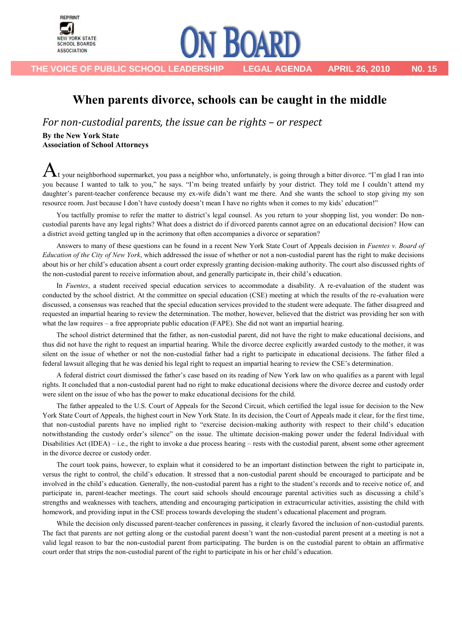

**THE VOICE OF PUBLIC SCHOOL LEADERSHIP LEGAL AGENDA APRIL 26, 2010 N0. 15**

## When parents divorce, schools can be caught in the middle

**ON BOARD** 

*For non-custodial parents, the issue can be rights – or respect* 

**By the New York State Association of School Attorneys**

 ${\bf A}$ t your neighborhood supermarket, you pass a neighbor who, unfortunately, is going through a bitter divorce. "I'm glad I ran into you because I wanted to talk to you," he says. "I'm being treated unfairly by your district. They told me I couldn't attend my daughter's parent-teacher conference because my ex-wife didn't want me there. And she wants the school to stop giving my son resource room. Just because I don't have custody doesn't mean I have no rights when it comes to my kids' education!"

You tactfully promise to refer the matter to district's legal counsel. As you return to your shopping list, you wonder: Do noncustodial parents have any legal rights? What does a district do if divorced parents cannot agree on an educational decision? How can a district avoid getting tangled up in the acrimony that often accompanies a divorce or separation?

Answers to many of these questions can be found in a recent New York State Court of Appeals decision in *Fuentes v. Board of Education of the City of New York*, which addressed the issue of whether or not a non-custodial parent has the right to make decisions about his or her child's education absent a court order expressly granting decision-making authority. The court also discussed rights of the non-custodial parent to receive information about, and generally participate in, their child's education.

In *Fuentes*, a student received special education services to accommodate a disability. A re-evaluation of the student was conducted by the school district. At the committee on special education (CSE) meeting at which the results of the re-evaluation were discussed, a consensus was reached that the special education services provided to the student were adequate. The father disagreed and requested an impartial hearing to review the determination. The mother, however, believed that the district was providing her son with what the law requires – a free appropriate public education (FAPE). She did not want an impartial hearing.

The school district determined that the father, as non-custodial parent, did not have the right to make educational decisions, and thus did not have the right to request an impartial hearing. While the divorce decree explicitly awarded custody to the mother, it was silent on the issue of whether or not the non-custodial father had a right to participate in educational decisions. The father filed a federal lawsuit alleging that he was denied his legal right to request an impartial hearing to review the CSE's determination.

A federal district court dismissed the father's case based on its reading of New York law on who qualifies as a parent with legal rights. It concluded that a non-custodial parent had no right to make educational decisions where the divorce decree and custody order were silent on the issue of who has the power to make educational decisions for the child.

The father appealed to the U.S. Court of Appeals for the Second Circuit, which certified the legal issue for decision to the New York State Court of Appeals, the highest court in New York State. In its decision, the Court of Appeals made it clear, for the first time, that non-custodial parents have no implied right to "exercise decision-making authority with respect to their child's education notwithstanding the custody order's silence" on the issue. The ultimate decision-making power under the federal Individual with Disabilities Act (IDEA) – i.e., the right to invoke a due process hearing – rests with the custodial parent, absent some other agreement in the divorce decree or custody order.

The court took pains, however, to explain what it considered to be an important distinction between the right to participate in, versus the right to control, the child's education. It stressed that a non-custodial parent should be encouraged to participate and be involved in the child's education. Generally, the non-custodial parent has a right to the student's records and to receive notice of, and participate in, parent-teacher meetings. The court said schools should encourage parental activities such as discussing a child's strengths and weaknesses with teachers, attending and encouraging participation in extracurricular activities, assisting the child with homework, and providing input in the CSE process towards developing the student's educational placement and program.

While the decision only discussed parent-teacher conferences in passing, it clearly favored the inclusion of non-custodial parents. The fact that parents are not getting along or the custodial parent doesn't want the non-custodial parent present at a meeting is not a valid legal reason to bar the non-custodial parent from participating. The burden is on the custodial parent to obtain an affirmative court order that strips the non-custodial parent of the right to participate in his or her child's education.